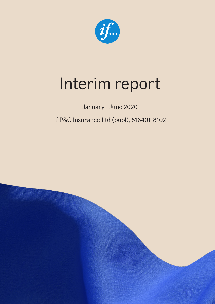

# Interim report

### January - June 2020

### If P&C Insurance Ltd (publ), 516401-8102

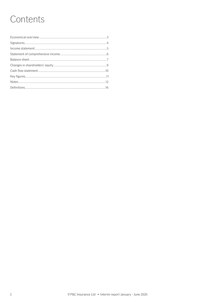# Contents

| $\label{eq:1} \textbf{income statement} \text{} \textcolor{red}{\textbf{if} \textbf{name} \textbf{if} \textbf{if} \textbf{if} } \textbf{if} \textbf{if} \textbf{if} \textbf{if} \textbf{if} \textbf{if} \textbf{if} \textbf{if} \textbf{if} \textbf{if} \textbf{if} \textbf{if} \textbf{if} \textbf{if} \textbf{if} \textbf{if} \textbf{if} \textbf{if} \textbf{if} \textbf{if} \textbf{if} \textbf{if} \textbf{if} \textbf{if} \textbf{if} \textbf{if} \textbf{if} \text$ |  |
|----------------------------------------------------------------------------------------------------------------------------------------------------------------------------------------------------------------------------------------------------------------------------------------------------------------------------------------------------------------------------------------------------------------------------------------------------------------------------|--|
|                                                                                                                                                                                                                                                                                                                                                                                                                                                                            |  |
|                                                                                                                                                                                                                                                                                                                                                                                                                                                                            |  |
|                                                                                                                                                                                                                                                                                                                                                                                                                                                                            |  |
|                                                                                                                                                                                                                                                                                                                                                                                                                                                                            |  |
|                                                                                                                                                                                                                                                                                                                                                                                                                                                                            |  |
|                                                                                                                                                                                                                                                                                                                                                                                                                                                                            |  |
|                                                                                                                                                                                                                                                                                                                                                                                                                                                                            |  |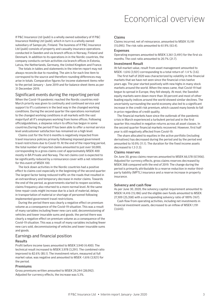### Economical overview

If P&C Insurance Ltd (publ) is a wholly owned subsidiary of If P&C Insurance Holding Ltd (publ), which in turn is a wholly owned subsidiary of Sampo plc, Finland. The business of If P&C Insurance Ltd (publ) consists of property and casualty insurance operations conducted in Sweden and via branch offices in Norway, Finland and Denmark. In addition to its operations in in the Nordic countries, the company conducts certain activities via branch offices in Estonia, Latvia, the Netherlands, Germany, the United Kingdom and France.

The totals in tables and statements in the interim report may not always reconcile due to rounding. The aim is for each line item to correspond to the source and therefore rounding differences may arise in totals. Comparative figures for income statement items refer to the period January - June 2019 and for balance sheet items as per 31 December 2019.

#### Significant events during the reporting period

When the Covid-19 pandemic reached the Nordic countries mid-March priority was given to continuity and continued service and support to If's customers in the best way in the changed working conditions. During the second quarter the operations normalized to the changed working conditions in all markets with the vast majorityof all If's employees working from home offices. Following officialguidelines, a stepwise return to office has begun in some countries.During the period If has been able to offer a normal service level andcustomer satisfaction has remained on a high level.

Claims cost for the first 6 months is negatively impacted from travel insurance policies primarily following imposed government travel restrictions due to Covid-19. At the end of the reporting period, the total number of reported claims amounted to just over 50,000, corresponding to a gross claims cost of approximately MSEK 400 mostly in BA Private and Norway. The net claims cost is expected to be significantly reduced by a reinsurance cover with a net retention for this event of MSEK 100.

The lock down activities in the Nordic countries had a positive effect to claims cost especially in the beginning of the second quarter. The largest factor being reduced traffic on the roads that resulted in an extraordinary and temporary decrease in motor claims. Towards the end of the period, as governments started to reopen societies, claims frequency also returned to a more normal level. At the same time repair costs might increase due to a lack of material, delays in transportation of material or shortage of personnel following implemented government travel restrictions.

During the period there was clearly a negative effect on premium volume as a consequence of the Covid-19 situation. This was a result of many variables including fewer new cars sold, decommissioning of vehicles and lower insurable sums and goods. the period there was clearly a negative effect on premium volume as a consequence of the Covid-19 situation. This was a result of many variables including fewer new cars sold, decommissioning of vehicles and lower insurable sums and goods.

#### Earnings and financial position

#### Results

Profit before income taxes amounted to MSEK 3,940 (4,400). The technical result increased to MSEK 3,978 (3,291). The combined ratio improved to 82.6% (85.1). The investment return, measured at full market value, was negative and amounted to MSEK -1,616 (3,921) for the period.

#### Premiums

Gross premiums written amounted to MSEK 29,244 (28,092). Adjusted for currency effects, the increase was 5.3%.

#### Claims

Claims incurred, net of reinsurance, amounted to MSEK 15,191 (15,095). The risk ratio amounted to 61.9% (63.4).

#### Expenses

Operating expenses amounted to MSEK 3,361 (3,491) for the first six months. The cost ratio amounted to 20.7% (21.7).

#### Investment Result

At full market value, result from asset management amounted to MSEK -1,616 (3,921) corresponding to a total return of -1.4 % (3.6).

The first half of 2020 was characterized by volatility in the financial markets that we have not seen since the financial crisis twelve years ago. The year started positively with new highs in many stock markets around the world. When the news came, that Covid-19 had begun to spread in Europe, they fell steeply. At most, the Swedish equity markets were down more than 30 percent and most of other leading equity indices around the world showed similar declines. The uncertainty surrounding the world economy also led to a significant increase in the credit risk premium, which caused many bonds to fall in price regardless of credit quality.

The financial markets have since the outbreak of the pandemic crisis in March experienced a turbulent period and in the first quarter this resulted in negative returns across all asset classes. In the second quarter financial markets recovered. However, first half year is still negatively affected from Covid-19.

The share allocated to equities in the active portfolio (including derivatives) has decreased during the period and by the period end amounted to 10.9% (11.1). The duration for the fixed income assets decreased to 1.3 (1.3).

#### Claims reserves

On June 30, gross claims reserves amounted to MSEK 66,578 (67,956). Adjusted for currency effects, gross claims reserves decreased by MSEK 368 compared with the end of 2019. The change during the period is primarily attributable to a reserve reduction in motor thirdparty liability (MPTL) insurance and a reserve increase in property insurance.

#### Solvency and cash flow

As per June 30, 2020, the solvency capital requirement amounted to MSEK 14,416 (15,186) and the eligible own funds amounted to MSEK 27,309 (25,358) with a corresponding solvency ratio of 189% (167).

Cash flow from operating activities, including net investments in financial investment assets, decreased to an inflow of MSEK 1,191 (3,643).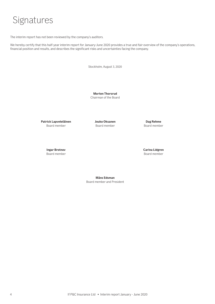### Signatures

The interim report has not been reviewed by the company's auditors.

We hereby certify that this half-year interim report for January-June 2020 provides a true and fair overview of the company's operations, financial position and results, and describes the significant risks and uncertainties facing the company.

Stockholm, August 3, 2020

**Morten Thorsrud** Chairman of the Board

**Patrick Lapveteläinen Jouko Oksanen Dag Rehme** Board member Board member Board member

Board member **Board member** Board member **Board member Board member** 

**Ingar Brotnov Carina Lidgren** 

**Måns Edsman** Board member and President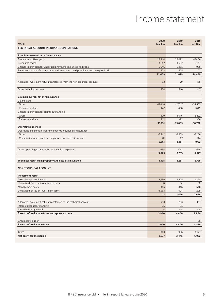### Income statement

| <b>MSEK</b>                                                                        | 2020<br>Jan-Jun          | 2019<br>Jan-Jun          | 2019<br>Jan-Dec |
|------------------------------------------------------------------------------------|--------------------------|--------------------------|-----------------|
| TECHNICAL ACCOUNT INSURANCE OPERATIONS                                             |                          |                          |                 |
|                                                                                    |                          |                          |                 |
| Premiums earned, net of reinsurance                                                |                          |                          |                 |
| Premiums written, gross                                                            | 29,244                   | 28,092                   | 47,466          |
| Premiums ceded                                                                     | $-1,852$                 | $-1,602$                 | $-2,091$        |
| Change in provision for unearned premiums and unexpired risks                      | $-5,646$                 | $-5,285$                 | $-956$          |
| Reinsurers' share of change in provision for unearned premiums and unexpired risks | 723                      | 625                      | 71              |
|                                                                                    | 22,469                   | 21,829                   | 44,490          |
|                                                                                    |                          |                          |                 |
| Allocated investment return transferred from the non-technical account             | 92                       | 79                       | 165             |
|                                                                                    |                          |                          |                 |
| Other technical income                                                             | 234                      | 210                      | 417             |
| Claims incurred, net of reinsurance                                                |                          |                          |                 |
| Claims paid                                                                        |                          |                          |                 |
| Gross                                                                              | $-17,048$                | $-17,017$                | $-34,505$       |
| Reinsurers' share                                                                  | 447                      | 468                      | 1,049           |
| Change in provision for claims outstanding                                         |                          |                          |                 |
| Gross                                                                              | 490                      | 1,546                    | 2,822           |
| Reinsurers' share                                                                  | 921                      | $-92$                    | $-86$           |
|                                                                                    | $-15,191$                | $-15,095$                | $-30,720$       |
| <b>Operating expenses</b>                                                          |                          |                          |                 |
| Operating expenses in insurance operations, net of reinsurance                     |                          |                          |                 |
| Gross                                                                              | $-3,442$                 | $-3,559$                 | $-7,206$        |
| Commissions and profit participations in ceded reinsurance                         | 81                       | 67                       | 144             |
|                                                                                    | $-3,361$                 | $-3,491$                 | $-7,062$        |
|                                                                                    |                          |                          |                 |
| Other operating expenses/other technical expenses                                  | $-264$                   | $-241$                   | $-516$          |
|                                                                                    | $-3,625$                 | $-3,733$                 | $-7,577$        |
|                                                                                    |                          |                          |                 |
| Technical result from property and casualty insurance                              | 3,978                    | 3,291                    | 6,775           |
|                                                                                    |                          |                          |                 |
| <b>NON-TECHNICAL ACCOUNT</b>                                                       |                          |                          |                 |
|                                                                                    |                          |                          |                 |
| <b>Investment result</b>                                                           |                          |                          |                 |
| Direct investment income                                                           | 1,459                    | 1,825                    | 3,390           |
| Unrealized gains on investment assets                                              | $\overline{0}$           | 51                       | 60              |
| Management costs                                                                   | $-185$                   | $-346$                   | $-546$          |
| Unrealized losses on investment assets                                             | $-1,063$                 | $-104$                   | $-209$          |
|                                                                                    | 211                      | 1,426                    | 2,696           |
| Allocated investment return transferred to the technical account                   | $-213$                   | $-233$                   | $-467$          |
| Interest expenses, financing                                                       | $-35$                    | $-35$                    | $-71$           |
| Amortization, goodwill                                                             | $-1$                     | $-48$                    | $-48$           |
| Result before income taxes and appropriations                                      | 3,940                    | 4,400                    | 8,884           |
|                                                                                    |                          |                          |                 |
| Group contribution                                                                 | $\overline{\phantom{a}}$ | $\overline{\phantom{a}}$ | $-25$           |
| <b>Result before income taxes</b>                                                  | 3,940                    | 4,400                    | 8,859           |
|                                                                                    |                          |                          |                 |
| Taxes<br>Net profit for the period                                                 | $-863$                   | $-956$                   | $-1,927$        |
|                                                                                    | 3,077                    | 3,445                    | 6,932           |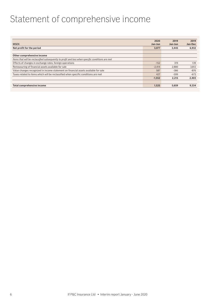### Statement of comprehensive income

|                                                                                                  | 2020     | 2019    | 2019    |
|--------------------------------------------------------------------------------------------------|----------|---------|---------|
| <b>MSEK</b>                                                                                      | Jan-Jun  | Jan-Jun | Jan-Dec |
| Net profit for the period                                                                        | 3,077    | 3,445   | 6,932   |
|                                                                                                  |          |         |         |
| Other comprehensive income                                                                       |          |         |         |
| Items that will be reclassified subsequently to profit and loss when specific conditions are met |          |         |         |
| Effects of changes in exchange rates, foreign operations                                         | $-152$   | 319     | 139     |
| Remeasuring of financial assets available for sale                                               | $-2.414$ | 2.880   | 3,812   |
| Value changes recognized in income statement on financial assets available for sale              | 587      | $-386$  | $-876$  |
| Taxes related to items which will be reclassified when specific conditions are met               | 427      | $-599$  | $-673$  |
|                                                                                                  | $-1,552$ | 2.215   | 2,403   |
|                                                                                                  |          |         |         |
| Total comprehensive income                                                                       | 1.525    | 5,659   | 9,334   |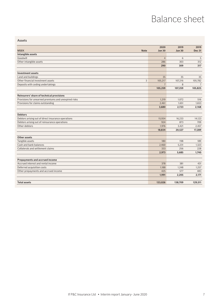### Balance sheet

|                                                      | 2020           | 2019          | 2019           |
|------------------------------------------------------|----------------|---------------|----------------|
| <b>MSEK</b><br><b>Note</b>                           | <b>Jun 30</b>  | <b>Jun 30</b> | <b>Dec 31</b>  |
| Intangible assets                                    |                |               |                |
| Goodwill                                             | $\overline{4}$ | 6             | 5              |
| Other intangible assets                              | 286            | 303           | 312            |
|                                                      | 290            | 309           | 317            |
| <b>Investment assets</b>                             |                |               |                |
| Land and buildings                                   | 35             | 35            | 35             |
| Other financial investment assets<br>3               | 105,217        | 107,216       | 105,782        |
| Deposits with ceding undertakings                    | $\overline{7}$ | 8             | $\overline{7}$ |
|                                                      | 105,259        | 107,259       | 105,825        |
|                                                      |                |               |                |
| Reinsurers' share of technical provisions            |                |               |                |
| Provisions for unearned premiums and unexpired risks | 1,219          | 1.072         | 516            |
| Provisions for claims outstanding                    | 2.461          | 1.651         | 1.653          |
|                                                      | 3,680          | 2,723         | 2,168          |
| <b>Debtors</b>                                       |                |               |                |
| Debtors arising out of direct insurance operations   | 15,934         | 16,233        | 14,123         |
| Debtors arising out of reinsurance operations        | 924            | 873           | 709            |
| Other debtors                                        | 1,976          | 3,421         | 2,457          |
|                                                      | 18,834         | 20,527        | 17,289         |
| Other assets                                         |                |               |                |
| Tangible assets                                      | 180            | 198           | 189            |
| Cash and bank balances                               | 2,460          | 5,231         | 1,323          |
| Collaterals and settlement claims                    | 333            | 256           | 228            |
|                                                      | 2.973          | 5.685         | 1,740          |
|                                                      |                |               |                |
| Prepayments and accrued income                       |                |               |                |
| Accrued interest and rental income                   | 378            | 381           | 431            |
| Deferred acquisition costs                           | 1,188          | 1.248         | 1,257          |
| Other prepayments and accrued income                 | 425            | 577           | 483            |
|                                                      | 1,991          | 2,205         | 2,171          |
| <b>Total assets</b>                                  | 133,026        | 138,709       | 129,511        |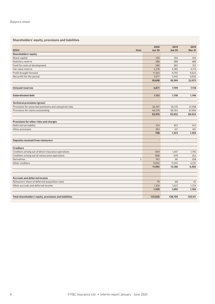#### Shareholders' equity, provisions and liabilities

| <b>MSEK</b><br><b>Note</b>                             | 2020<br><b>Jun 30</b> | 2019<br><b>Jun 30</b> | 2019<br><b>Dec 31</b> |
|--------------------------------------------------------|-----------------------|-----------------------|-----------------------|
| Shareholders' equity                                   |                       |                       |                       |
| Share capital                                          | 104                   | 104                   | 104                   |
| Statutory reserve                                      | 388                   | 388                   | 388                   |
| Fund for costs of development                          | 286                   | 283                   | 312                   |
| Fair value reserve                                     | 3,278                 | 4,385                 | 4,714                 |
| Profit brought forward                                 | 11,565                | 9,793                 | 9,623                 |
| Net profit for the period                              | 3,077                 | 3,445                 | 6,932                 |
|                                                        | 18,698                | 18,399                | 22,073                |
| <b>Untaxed reserves</b>                                | 6.871                 | 7.199                 | 7,118                 |
| <b>Subordinated debt</b>                               | 1,152                 | 1,158                 | 1,146                 |
|                                                        |                       |                       |                       |
| <b>Technical provisions (gross)</b>                    |                       | 26,170                | 21,598                |
| Provisions for unearned premiums and unexpired risks   | 26,497                |                       |                       |
| Provisions for claims outstanding                      | 66,578<br>93,076      | 69,763<br>95,932      | 67,956<br>89,553      |
|                                                        |                       |                       |                       |
| Provisions for other risks and charges                 |                       |                       |                       |
| Deferred tax liability                                 | 314                   | 813                   | 912                   |
| Other provisions                                       | 394                   | 411                   | 451                   |
|                                                        | 708                   | 1,223                 | 1,363                 |
| <b>Deposits received from reinsurers</b>               | $\overline{a}$        | $\overline{a}$        |                       |
| <b>Creditors</b>                                       |                       |                       |                       |
| Creditors arising out of direct insurance operations   | 849                   | 1,347                 | 1,745                 |
| Creditors arising out of reinsurance operations        | 808                   | 678                   | 252                   |
| 3<br><b>Derivatives</b>                                | 342                   | 66                    | 258                   |
| Other creditors                                        | 9,094                 | 11,015                | 4,237                 |
|                                                        | 11,092                | 13,106                | 6,492                 |
|                                                        |                       |                       |                       |
| <b>Accruals and deferred income</b>                    |                       |                       |                       |
| Reinsurers' share of deferred acquisition costs        | 79                    | 68                    | 42                    |
| Other accruals and deferred income                     | 1,350                 | 1,623                 | 1,724                 |
|                                                        | 1,429                 | 1,692                 | 1,765                 |
| Total shareholders' equity, provisions and liabilities | 133,026               | 138,709               | 129,511               |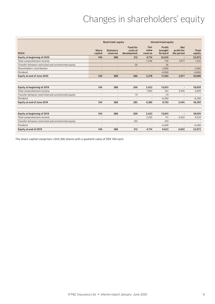### Changes in shareholders' equity

|                                                     | <b>Restricted equity</b> |                              |                                            | <b>Unrestricted equity</b> |                              |                                        |                        |
|-----------------------------------------------------|--------------------------|------------------------------|--------------------------------------------|----------------------------|------------------------------|----------------------------------------|------------------------|
| <b>MSEK</b>                                         | <b>Share</b><br>capital  | <b>Statutory</b><br>reserves | <b>Fund for</b><br>costs of<br>development | Fair<br>value<br>reserve   | Profit<br>brought<br>forward | <b>Net</b><br>profit for<br>the period | <b>Total</b><br>equity |
| Equity at beginning of 2020                         | 104                      | 388                          | 312                                        | 4,714                      | 16,555                       | ٠                                      | 22,073                 |
| Total comprehensive income                          | $\overline{a}$           | $\overline{a}$               | $\overline{\phantom{a}}$                   | $-1,436$                   | $-116$                       | 3,077                                  | 1,525                  |
| Transfer between restricted and unrestricted equity | $\overline{\phantom{a}}$ | $\overline{\phantom{a}}$     | $-26$                                      | $\overline{a}$             | 26                           | $\overline{a}$                         |                        |
| Shareholders' contribution                          |                          | $\overline{\phantom{a}}$     | $\overline{a}$                             | $\overline{a}$             | 2.000                        | $\overline{a}$                         | 2,000                  |
| Dividend                                            |                          |                              | $\overline{a}$                             |                            | $-6.900$                     |                                        | $-6,900$               |
| Equity at end of June 2020                          | 104                      | 388                          | 286                                        | 3.278                      | 11,565                       | 3,077                                  | 18,698                 |
|                                                     |                          |                              |                                            |                            |                              |                                        |                        |
| Equity at beginning of 2019                         | 104                      | 388                          | 209                                        | 2,423                      | 15,815                       |                                        | 18,939                 |
| Total comprehensive income                          | ٠                        |                              | $\overline{a}$                             | 1.963                      | 252                          | 3,445                                  | 5,659                  |
| Transfer between restricted and unrestricted equity | $\overline{\phantom{a}}$ | $\overline{\phantom{a}}$     | 74                                         | $\overline{a}$             | $-74$                        | $\overline{a}$                         |                        |
| Dividend                                            |                          |                              | $\overline{a}$                             | $\overline{a}$             | $-6,200$                     | $\overline{a}$                         | $-6,200$               |
| Equity at end of June 2019                          | 104                      | 388                          | 283                                        | 4,385                      | 9.793                        | 3,445                                  | 18,399                 |
| Equity at beginning of 2019                         | 104                      | 388                          | 209                                        | 2,423                      | 15.815                       | $\overline{a}$                         | 18,939                 |
| Total comprehensive income                          | ٠                        | $\overline{\phantom{a}}$     | $\overline{a}$                             | 2.292                      | 111                          | 6,932                                  | 9,334                  |
| Transfer between restricted and unrestricted equity | $\overline{a}$           | $\overline{\phantom{a}}$     | 103                                        | $\overline{a}$             | $-103$                       | $\overline{a}$                         |                        |
| Dividend                                            |                          |                              |                                            | $\overline{a}$             | $-6,200$                     | $\overline{a}$                         | $-6,200$               |
| Equity at end of 2019                               | 104                      | 388                          | 312                                        | 4.714                      | 9,623                        | 6,932                                  | 22,073                 |

The share capital comprises 1,044,306 shares with a quotient value of SEK 100 each.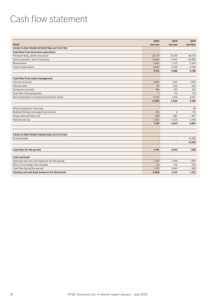### Cash flow statement

|                                                | 2020                     | 2019                     | 2019      |
|------------------------------------------------|--------------------------|--------------------------|-----------|
| <b>MSEK</b>                                    | Jan-Jun                  | Jan-Jun                  | Jan-Dec   |
| <b>CASH FLOW FROM OPERATING ACTIVITIES</b>     |                          |                          |           |
| <b>Cash flow from insurance operations</b>     |                          |                          |           |
| Premium flows, direct insurance                | 26,737                   | 25.195                   | 46.734    |
| Claim payments, direct insurance               | $-17,684$                | $-17,023$                | $-34,485$ |
| Reinsurance                                    | $-1,045$                 | $-1,137$                 | $-1,344$  |
| Costs of operations                            | $-3,892$                 | $-3,549$                 | $-6,758$  |
|                                                | 4,115                    | 3,486                    | 4,148     |
| Cash flow from asset management                |                          |                          |           |
| Interest received                              | 1,005                    | 1,021                    | 1,945     |
| Interest paid                                  | $-91$                    | $-225$                   | $-323$    |
| Dividends received                             | 106                      | 333                      | 432       |
| Cash flow from properties                      | $-1$                     | 115                      | 114       |
| Net investments in financial investment assets | $-3.710$                 | 1.016                    | 2,017     |
|                                                | $-2,690$                 | 2,260                    | 4,185     |
| Interest payment, financing                    | $\overline{\phantom{a}}$ | $\overline{\phantom{a}}$ | $-70$     |
| Realized foreign exchange transactions         | 415                      | 6                        | $-95$     |
| Group internal flows, net                      | 408                      | $-887$                   | $-497$    |
| Paid income tax                                | $-1,057$                 | $-1,223$                 | $-1,780$  |
|                                                | 1,191                    | 3,643                    | 5,891     |
|                                                |                          |                          |           |
| <b>CASH FLOW FROM FINANCING ACTIVITIES</b>     |                          |                          |           |
| Dividend paid                                  | L,                       | $\overline{a}$           | $-6,200$  |
|                                                |                          | $\overline{\phantom{a}}$ | $-6,200$  |
| Cash flow for the period                       | 1,191                    | 3,643                    | $-309$    |
|                                                |                          |                          |           |
| <b>Cash and bank</b>                           |                          |                          |           |
| Opening cash and cash balances for the period  | 1,323                    | 1,396                    | 1,396     |
| Effect of exchange rate changes                | $-54$                    | 192                      | 236       |
| Cash flow during the period                    | 1,191                    | 3,643                    | $-309$    |
| Closing cash and bank balances for the period  | 2,460                    | 5,231                    | 1,323     |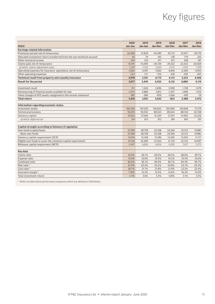# Key figures

|                                                                        | 2020      | 2019      | 2019      | 2018      | 2017      | 2016      |
|------------------------------------------------------------------------|-----------|-----------|-----------|-----------|-----------|-----------|
| <b>MSEK</b>                                                            | Jan-Jun   | Jan-Jun   | Jan-Dec   | Jan-Dec   | Jan-Dec   | Jan-Dec   |
| <b>Earnings related information</b>                                    |           |           |           |           |           |           |
| Premiums earned, net of reinsurance                                    | 22,469    | 21,829    | 44,490    | 42,172    | 32,977    | 29,770    |
| Allocated investment return transferred from the non-technical account | 92        | 79        | 165       | 128       | 179       | 225       |
| Other technical income                                                 | 234       | 210       | 417       | 373       | 248       | 197       |
| Claims paid, net of reinsurance                                        | $-15,191$ | $-15,095$ | $-30,720$ | $-29,322$ | $-22,423$ | $-20,569$ |
| of which, claims-adjustment costs                                      | $-1,287$  | $-1,252$  | $-2,624$  | $-2,431$  | $-1,932$  | $-1,709$  |
| Operating expenses for insurance operations, net of reinsurance        | $-3,361$  | $-3,491$  | $-7,062$  | $-6,818$  | $-5,400$  | $-4,953$  |
| Other operating expenses                                               | $-264$    | $-241$    | $-516$    | $-418$    | $-326$    | $-263$    |
| Technical result from property and casualty insurance                  | 3,978     | 3,291     | 6,775     | 6,115     | 5,254     | 4,406     |
| <b>Result for the period</b>                                           | 3,077     | 3.445     | 6,932     | 6,132     | 6,880     | 4,119     |
| Investment result                                                      | 211       | 1,426     | 2,696     | 2,590     | 1,748     | 1,479     |
| Remeasuring of financial assets available for sale                     | $-2,414$  | 2,880     | 3,812     | $-2,357$  | 1,098     | 1,014     |
| Value changes of AFS assets regognized in the income statement         | 587       | $-386$    | $-876$    | $-1,056$  | $-459$    | $-19$     |
| <b>Total return</b>                                                    | $-1,616$  | 3,921     | 5,632     | $-823$    | 2,388     | 2,473     |
|                                                                        |           |           |           |           |           |           |
| Information regarding economic status                                  |           |           |           |           |           |           |
| Investment assets                                                      | 105,259   | 107,259   | 105,825   | 102,990   | 104,818   | 77,274    |
| <b>Technical provisions</b>                                            | 93,076    | 95,932    | 89,553    | 89,654    | 88,150    | 62,108    |
| Solvency capital                                                       | 27,035    | 27,569    | 31,250    | 27,291    | 31,062    | 23,226    |
| of which, deferred tax                                                 | 314       | 813       | 912       | 184       | 847       | 707       |
| Capital strength according to Solvency II regulation                   |           |           |           |           |           |           |
| Own funds (capital base)                                               | 27,309    | 28,758    | 25,358    | 24,269    | 25,512    | 19,881    |
| - Basic own funds                                                      | 27,309    | 28,758    | 25,358    | 24,269    | 25,512    | 19,881    |
| Solvency capital requirement (SCR)                                     | 14,416    | 15,168    | 15,186    | 14,205    | 15,593    | 11,717    |
| Eligible own funds to cover the minimum capital requirement            | 27,136    | 25,280    | 22,052    | 21,129    | 22,752    | 16,697    |
| Minimum capital requierment (MCR)                                      | 6,487     | 6,826     | 6,834     | 6,392     | 7,017     | 5,273     |
|                                                                        |           |           |           |           |           |           |
| Key data                                                               |           |           |           |           |           |           |
| Claims ratio                                                           | 67.6%     | 69.1%     | 69.0%     | 69.5%     | 68.0%     | 69.1%     |
| Expense ratio                                                          | 15.0%     | 16.0%     | 15.9%     | 16.2%     | 16.4%     | 16.6%     |
| Combined ratio                                                         | 82.6%     | 85.1%     | 84.9%     | 85.7%     | 84.4%     | 85.7%     |
| Risk ratio <sup>1)</sup>                                               | 61.9%     | 63.4%     | 63.2%     | 63.8%     | 62.1%     | 63.4%     |
| Cost ratio <sup>1)</sup>                                               | 20.7%     | 21.7%     | 21.8%     | 21.9%     | 22.2%     | 22.4%     |
| Insurance margin <sup>1)</sup>                                         | 17.8%     | 15.2%     | 15.5%     | 14.6%     | 16.2%     | 15.0%     |
| Total investment return                                                | $-1.4%$   | 3.6%      | 5.3%      | $-0.8%$   | 3.1%      | 3.3%      |

 $1)$  Refers to alternative performance measures which are defined in Definitions.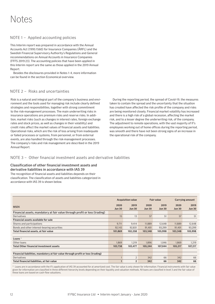### Notes

#### NOTE 1 – Applied accounting policies

This Interim report was prepared in accordance with the Annual Accounts Act (1995:1560) for Insurance Companies (ÅRFL) and the Swedish Financial Supervisory Authority's Regulations and General recommendations on Annual Accounts in Insurance Companies (FFFS 2019:23). The accounting policies that have been applied in this Interim report are the same as those applied in the 2019 Annual Report.

Besides the disclosures provided in Notes 1-4, more information can be found in the section Economical overview.

#### NOTE 2 – Risks and uncertainties

Risk is a natural and integral part of the company's business and environment and the tools used for managing risk include clearly defined strategies and responsibilities, together with strong commitment to the risk-management processes. The main underwriting risks in insurance operations are premium risks and reserve risks. In addition, market risks (such as changes in interest rates, foreign exchange rates and stock prices, as well as changes in their volatility) and credit risks affect the market values of financial assets and liabilities. Operational risks, which are the risk of loss arising from inadequate or failed processes or systems, from personnel, or from external events, are also handled through the risk-management processes. The company's risks and risk management are described in the 2019 Annual Report.

During the reporting period, the spread of Covid-19, the measures taken to contain the spread and the uncertainty that the situation has created have affected the risk profile of the company and risks are being monitored closely. Financial market volatility has increased and there is a high risk of a global recession, affecting the market risk, and to a lesser degree the underwriting risk, of the company. The adjustment to remote operations, with the vast majority of If's employees working out of home offices during the reporting period, was smooth and there have not been strong signs of an increase in the operational risk of the company.

#### NOTE 3 – Other financial investment assets and derivative liabilities

#### Classification of other financial investment assets and derivative liabilities in accordance with IAS 39

The recognition of financial assets and liabilities depends on their classification. The classification of assets and liabilities categorized in accordance with IAS 39 is shown below.

|                                                                                 | <b>Acquisition value</b> |                       | <b>Fair value</b>     |                       | <b>Carrying amount</b> |                       |
|---------------------------------------------------------------------------------|--------------------------|-----------------------|-----------------------|-----------------------|------------------------|-----------------------|
| <b>MSEK</b>                                                                     | 2020<br><b>Jun 30</b>    | 2019<br><b>Jun 30</b> | 2020<br><b>Jun 30</b> | 2019<br><b>Jun 30</b> | 2020<br><b>Jun 30</b>  | 2019<br><b>Jun 30</b> |
| Financial assets, mandatory at fair value through profit or loss (trading)      |                          |                       |                       |                       |                        |                       |
| Derivatives                                                                     | 15                       | 13                    | 57                    | 51                    | 57                     | 51                    |
| Financial assets available for sale                                             |                          |                       |                       |                       |                        |                       |
| Shares and participations                                                       | 9,711                    | 9,414                 | 11,889                | 12,648                | 11,889                 | 12,648                |
| Bonds and other interest-bearing securities                                     | 92,143                   | 92,831                | 91,401                | 93,299                | 91,401                 | 93,299                |
| Total financial assets, at fair value                                           | 101,869                  | 102,258               | 103,348               | 105,998               | 103,348                | 105,998               |
|                                                                                 |                          |                       |                       |                       |                        |                       |
| Loans $\frac{1}{2}$                                                             |                          |                       |                       |                       |                        |                       |
| Other loans                                                                     | 1,869                    | 1,219                 | 1,896                 | 1,046                 | 1,869                  | 1,219                 |
| <b>Total Other financial investment assets</b>                                  | 103,738                  | 103,477               | 105.244               | 107.044               | 105.217                | 107,217               |
|                                                                                 |                          |                       |                       |                       |                        |                       |
| Financial liabilities, mandatory at fair value through profit or loss (trading) |                          |                       |                       |                       |                        |                       |
| Derivatives                                                                     |                          | $\overline{2}$        | 342                   | 66                    | 342                    | 66                    |
| Total financial liabilities, at fair value                                      |                          | $\overline{2}$        | 342                   | 66                    | 342                    | 66                    |

 $1)$  Loans are in accordance with the If's application of IAS 39 accounted for at amortized cost. The fair value is only shown for information. Financial instruments with fair value given for information are classified in three different hierarchy levels depending on their liquidity and valuation methods. All loans are classified in level 3 and the fair value of these loans are based on cash-flow valuations.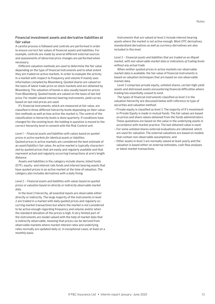A careful process is followed and controls are performed in order to ensure correct fair values of financial assets and liabilities. For example, controls are made by several different external sources and assessments of abnormal price changes are performed when necessary.

Different valuation methods are used to determine the fair value depending on the type of financial instruments and to what extent they are traded on active markets. In order to evaluate the activity in a market with respect to frequency and volume If mainly uses information compiled by Bloomberg. Quoted shares are valued on the basis of latest trade price on stock markets and are obtained by Bloomberg. The valuation of bonds is also usually based on prices from Bloomberg. Quoted bonds are valued on the basis of last bid price. For model-valued interest bearing instruments, yield curves based on last mid prices are used.

If's financial instruments, which are measured at fair value, are classified in three different hierarchy levels depending on their valuation methods as well as how active the market is. The control of the classification in hierarchy levels is done quarterly. If conditions have changed for the existing level, the holding in question is moved to the correct hierarchy level in consent with the Risk Control unit.

#### *Level 1 – Financial assets and liabilities with values based on quoted prices in active markets for identical assets or liabilities.*

Quoted prices in active markets are considered the best estimate of an asset/liability's fair value. An active market is typically characterized by quoted prices that are easily and regularly available and that represent actual and regularly occurring transactions at arm's length distance.

Assets and liabilities in the category include shares, listed funds (ETF), equity- and interest rate funds and interest bearing assets that have quoted prices in an active market at the time of valuation. The category also includes derivatives with a daily fixing.

#### *Level 2 – Financial assets and liabilities with values based on quoted prices or valuation based on directly or indirectly observable market data.*

In the level 2 hierarchy, all essential inputs are observable either directly or indirectly. The large majority of the instruments in level 2 are traded in a market with daily quoted prices and regularly occurring market transactions but where the market is not considered to be active enough regarding frequency and volume and/or when the standard deviation of the prices is high. A very limited part of the instruments are model valued with the help of market data that is indirectly observable, meaning that prices can be derived from observable markets where market interest rates and underlying rates normally are updated daily or, in exceptional cases, at least on a monthly basis.

Instruments that are valued at level 2 include interest bearing assets where the market is not active enough. Most OTC derivatives, standardized derivatives as well as currency derivatives are also included in this level.

#### *Level 3 – Financial assets and liabilities that are traded on an illiquid market, with non-observable market data or indications of trading levels without any actual trade.*

When neither quoted prices in active markets nor observable market data is available, the fair value of financial instruments is based on valuation techniques that are based on non observable market data.

Level 3 comprises private equity, unlisted shares, certain high-yield assets and distressed assets encountering financial difficulties where trading has essentially ceased to exist.

The types of financial instruments classified as level 3 in the valuation hierarchy are discussed below with reference to type of securities and valuation method:

- Private equity is classified as level 3. The majority of If's investment in Private Equity is made in mutual funds. The fair values are based on prices and share values obtained from the funds administrators. These quotations are based on the value in the underlying assets in accordance with market practice. The last obtained value is used;
- For some unlisted shares external evaluations are obtained, which are used for valuation. The external valuations are based on models that contain non-observable assumptions; and
- –Other assets in level 3 are normally valued at least yearly and the valuation is based either on external estimates, cash flow analyses or latest market transactions.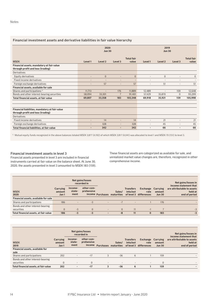#### Financial investment assets and derivative liabilities in fair value hierarchy

|                                                                                     | 2020<br><b>Jun 30</b>    |                    |                          |                            | 2019<br><b>Jun 30</b>    |                          |                          |                            |
|-------------------------------------------------------------------------------------|--------------------------|--------------------|--------------------------|----------------------------|--------------------------|--------------------------|--------------------------|----------------------------|
| <b>MSEK</b>                                                                         | Level 1                  | Level <sub>2</sub> | Level 3                  | <b>Total fair</b><br>value | Level 1                  | Level <sub>2</sub>       | Level 3                  | <b>Total fair</b><br>value |
| Financial assets, mandatory at fair value<br>through profit and loss (trading)      |                          |                    |                          |                            |                          |                          |                          |                            |
| Derivatives                                                                         |                          |                    |                          |                            |                          |                          |                          |                            |
| Equity derivatives                                                                  | $\overline{\phantom{0}}$ | $\overline{0}$     | ٠                        | $\overline{0}$             | $\overline{\phantom{a}}$ | $\mathbf{0}$             |                          | $\mathbf{0}$               |
| Fixed income derivatives                                                            |                          | -                  | ٠                        | $\overline{\phantom{a}}$   | $\overline{\phantom{a}}$ | $\overline{\phantom{0}}$ |                          |                            |
| Foreign exchange derivatives                                                        | $\overline{\phantom{a}}$ | 57                 | $\overline{\phantom{a}}$ | 57                         | $\overline{\phantom{a}}$ | 51                       | $\overline{\phantom{a}}$ | 51                         |
| Financial assets, available for sale                                                |                          |                    |                          |                            |                          |                          |                          |                            |
| Shares and participations <sup>1)</sup>                                             | 11,713                   | $\overline{a}$     | 176                      | 11,889                     | 12,489                   | $\overline{\phantom{a}}$ | 159                      | 12,648                     |
| Bonds and other interest-bearing securities                                         | 58.094                   | 33,301             | $\overline{7}$           | 91.401                     | 57.429                   | 35,870                   | $\Omega$                 | 93,299                     |
| Total financial assets, at fair value                                               | 69,807                   | 33,358             | 183                      | 103,348                    | 69,918                   | 35,921                   | 159                      | 105,998                    |
|                                                                                     |                          |                    |                          |                            |                          |                          |                          |                            |
| Financial liabilities, mandatory at fair value<br>through profit and loss (trading) |                          |                    |                          |                            |                          |                          |                          |                            |
| Derivatives                                                                         |                          |                    |                          |                            |                          |                          |                          |                            |
| Fixed income derivatives                                                            | $\overline{\phantom{0}}$ | 14                 | ٠                        | 14                         | $\overline{a}$           | 21                       | $\overline{\phantom{a}}$ | 21                         |
| Foreign exchange derivatives                                                        |                          | 328                | ÷                        | 328                        |                          | 45                       |                          | 45                         |
| Total financial liabilities, at fair value                                          | $\overline{a}$           | 342                | ٠                        | 342                        |                          | 66                       | $\overline{\phantom{a}}$ | 66                         |

<sup>1)</sup> Mutual equity funds recognized in the above balances totaled MSEK 3,877 (4,192) of which MSEK 3,817 (4,041) was allocated to level 1 and MSEK 70 (151) to level 3.

#### Financial investment assets in level 3

Financial assets presented in level 3 are included in financial instruments carried at fair value on the balance sheet. At June 30, 2020, the assets presented in level 3 amounted to MSEK 183 (159). These financial assets are categorized as available for sale, and unrealized market value changes are, therefore, recognized in other comprehensive income.

|                                                |                             |                           | Net gains/losses<br>recorded in |                          |                                       |                              |                                            |                                            | Net gains/losses in<br>income statement that           |
|------------------------------------------------|-----------------------------|---------------------------|---------------------------------|--------------------------|---------------------------------------|------------------------------|--------------------------------------------|--------------------------------------------|--------------------------------------------------------|
| <b>MSEK</b><br>2020                            | Carrying<br>amount<br>Jan 1 | income-<br>state-<br>ment | other com-<br>prehensive        |                          | Sales/<br>income Purchases maturities | <b>Transfers</b><br>into/out | Exchange<br>rate<br>of level 3 differences | <b>Carrying</b><br>amount<br><b>Jun 30</b> | are attributable to assets<br>held at<br>end of period |
| Financial assets, available for sale           |                             |                           |                                 |                          |                                       |                              |                                            |                                            |                                                        |
| Shares and participations                      | 186                         | -                         | $-3$                            | $\overline{\phantom{a}}$ | $-7$                                  | $\overline{\phantom{a}}$     |                                            | 176                                        |                                                        |
| Bonds and other interest-bearing<br>securities |                             | $-3$                      | $\overline{0}$                  | $\overline{\phantom{a}}$ |                                       | 11                           | E.                                         |                                            | $-3$                                                   |
| Total financial assets, at fair value          | 186                         | $-3$                      | $-3$                            | $\overline{a}$           | -8                                    | 11                           | $\bf{0}$                                   | 183                                        | $-3$                                                   |

|                                                |                             | Net gains/losses<br>recorded in |                                    |                          |                          |                              |                                            |                                     | Net gains/losses in<br>income statement that           |
|------------------------------------------------|-----------------------------|---------------------------------|------------------------------------|--------------------------|--------------------------|------------------------------|--------------------------------------------|-------------------------------------|--------------------------------------------------------|
| <b>MSEK</b><br>2019                            | Carrying<br>amount<br>Jan 1 | income-<br>state-<br>ment       | other com-<br>prehensive<br>income | <b>Purchases</b>         | Sales/<br>maturities     | <b>Transfers</b><br>into/out | Exchange<br>rate<br>of level 3 differences | Carrying<br>amount<br><b>Jun 30</b> | are attributable to assets<br>held at<br>end of period |
| Financial assets, available for<br>sale        |                             |                                 |                                    |                          |                          |                              |                                            |                                     |                                                        |
| Shares and participations                      | 202                         | $\overline{\phantom{a}}$        | $-17$                              | 3                        | $-36$                    | 6                            |                                            | 159                                 |                                                        |
| Bonds and other interest-bearing<br>securities | $\mathbf{0}$                | $\overline{\phantom{a}}$        | 0                                  | $\overline{\phantom{a}}$ | $\overline{\phantom{a}}$ | $\overline{\phantom{a}}$     | $\overline{\phantom{a}}$                   | $\mathbf{0}$                        |                                                        |
| Total financial assets, at fair value          | 202                         | $\overline{\phantom{a}}$        | $-17$                              | 3                        | $-36$                    | 6                            |                                            | 159                                 |                                                        |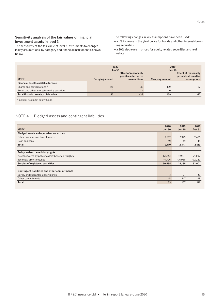#### Sensitivity analysis of the fair values of financial investment assets in level 3

The sensitivity of the fair value of level 3 instruments to changes in key assumptions, by category and financial instrument is shown below.

The following changes in key assumptions have been used:

- a 1% increase in the yield curve for bonds and other interest-bearing securities;
- a 20% decrease in prices for equity related securities and real estate.

|                                             | 2020<br><b>Jun 30</b><br><b>Effect of reasonably</b><br>possible alternative |             | 2019<br><b>Jun 30</b><br>Effect of reasonably<br>possible alternative |             |  |
|---------------------------------------------|------------------------------------------------------------------------------|-------------|-----------------------------------------------------------------------|-------------|--|
| <b>MSEK</b>                                 | Carrying amount                                                              | assumptions | <b>Carrying amount</b>                                                | assumptions |  |
| Financial assets, available for sale        |                                                                              |             |                                                                       |             |  |
| Shares and participations <sup>1)</sup>     | 176                                                                          | $-35$       | 159                                                                   | $-32$       |  |
| Bonds and other interest-bearing securities |                                                                              |             |                                                                       |             |  |
| Total financial assets, at fair value       | 183                                                                          | $-35$       | 159                                                                   | $-32$       |  |

<sup>1)</sup> Includes holding in equity funds.

#### NOTE 4 – Pledged assets and contingent liabilities

|                                                     | 2020          | 2019          | 2019          |
|-----------------------------------------------------|---------------|---------------|---------------|
| <b>MSEK</b>                                         | <b>Jun 30</b> | <b>Jun 30</b> | <b>Dec 31</b> |
| Pledged assets and equivalent securities            |               |               |               |
| Other financial investment assets                   | 2,692         | 2,329         | 2,495         |
| Cash and bank                                       | 19            | 19            | 18            |
| <b>Total</b>                                        | 2,710         | 2,347         | 2,513         |
|                                                     |               |               |               |
| Policyholders' beneficiary rights                   |               |               |               |
| Assets covered by policyholders' beneficiary rights | 105,161       | 110,171       | 104,890       |
| Technical provisions, net                           | $-74,706$     | $-76,986$     | $-72,289$     |
| Surplus of registered securities                    | 30,455        | 33,185        | 32,601        |
|                                                     |               |               |               |
| Contingent liabilities and other commitments        |               |               |               |
| Surety and guarantee undertakings                   | 13            | 21            | 19            |
| Other commitments                                   | 51            | 147           | 98            |
| Total                                               | 63            | 167           | 116           |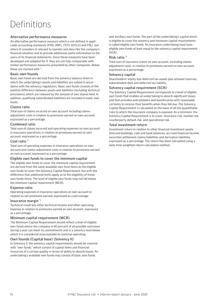# Definitions

#### Alternative performance measures

An alternative performance measure which is not defined in applicable accounting standards (IFRS, ÅRFL, FFFS 2019:23 and FRL), but where If considers it relevant to monitor and describe the company's financial situation and to provide additional useful information to the users of its financial statements. Since these measures have been developed and adapted for If, they are not fully comparable with similar performance measures presented by other companies. Below these are marked with **\***) .

#### Basic own founds

Basic own funds are derived from the solvency balance sheet in which the undertaking's assets and liabilities are valued in accordance with the solvency regulations. Basic own funds consists of the positive difference between assets and liabilities (including technical provisions), which are reduced by the amount of own shares held. In addition, qualifying subordinated liabilities are included in basic own funds.

#### Claims ratio

Total sum of claims incurred on own account including claimsadjustment costs in relation to premiums earned on own account, expressed as a percentage.

#### Combined ratio

Total sum of claims incurred and operating expenses on own account in insurance operations in relation to premiums earned on own account, expressed as a percentage.

#### Cost ratio<sup>\*</sup>

Total sum of operating expenses in insurance operations on own account and claims-adjustment costs in relation to premiums earned on own account, expressed as a percentage.

#### Eligible own funds to cover the minimum capital

The eligible own funds to cover the minimum capital requirement are derived from the same available own fund items as the eligible own funds to cover the Solvency Capital Requirement, but with the difference that additional limits apply as to the eligibility of those own funds items. The level of eligible own funds may not fall below the minimum capital requirement (MCR).

#### Expense ratio

Operating expenses in insurance operations on own account in relation to net premiums earned, expressed as a percentage.

#### Insurance margin \*)

Technical result less other technical income and other operating expense in relation to premiums earned on own account, expressed as a percentage.

#### Minimum capital requirement (MCR)

The Minimum Capital Requirement should reflect a level of eligible own funds where the company in 85 percent of all possible outcomes during a year can meet its commitments and is a solvency level below which it is considered unacceptable to continue operating.

#### Own founds (Capital base) (Solvency II)

In Solvency II, the solvency capital requirements should be covered with "own funds," which consist of capital items and financial resources of a certain quality in terms of ability to absorb losses. An undertaking's available own funds may consist of basic own funds

and ancillary own funds. The part of the undertaking's capital which is eligible to cover the solvency and minimum capital requirements is called eligible own funds. An insurance undertaking must have eligible own funds at least equal to the solvency capital requirement (SCR).

#### Risk ratio \*)

Total sum of insurance claims on own account, excluding claimsadjustment costs, in relation to premiums earned on own account, expressed as a percentage.

#### Solvency capital

Shareholders' equity less deferred tax assets plus untaxed reserves, subordinated debt and deferred tax liability.

#### Solvency capital requirement (SCR)

The Solvency Capital Requirement corresponds to a level of eligible own funds that enables an undertaking to absorb significant losses and that provides policyholders and beneficiaries with reasonable certainty to receive their benefits when they fall due. The Solvency Capital Requirement is calculated on the basis of all the quantifiable risks to which the insurance company is exposed. As a minimum, the Solvency Capital Requirement is to cover: insurance risk, market risk, counterparty default risk, and operational risk.

#### Total investment return

Investment return in relation to other financial investment assets, land and buildings, cash and bank balances, accrued financial income, securities settlement claims/liabilities and derivative liabilities, expressed as a percentage. The return has been calculated using a daily time-weighted return calculation method.